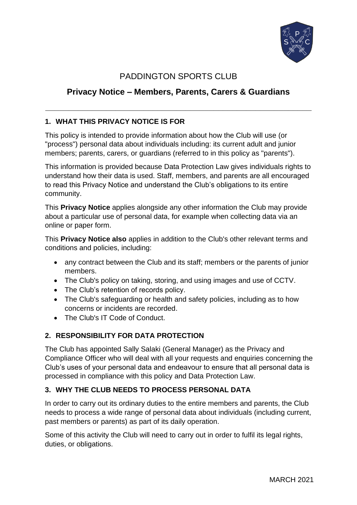

# PADDINGTON SPORTS CLUB

# **Privacy Notice – Members, Parents, Carers & Guardians**

**\_\_\_\_\_\_\_\_\_\_\_\_\_\_\_\_\_\_\_\_\_\_\_\_\_\_\_\_\_\_\_\_\_\_\_\_\_\_\_\_\_\_\_\_\_\_\_\_\_\_\_\_\_\_\_\_\_**

## **1. WHAT THIS PRIVACY NOTICE IS FOR**

This policy is intended to provide information about how the Club will use (or "process") personal data about individuals including: its current adult and junior members; parents, carers, or guardians (referred to in this policy as "parents").

This information is provided because Data Protection Law gives individuals rights to understand how their data is used. Staff, members, and parents are all encouraged to read this Privacy Notice and understand the Club's obligations to its entire community.

This **Privacy Notice** applies alongside any other information the Club may provide about a particular use of personal data, for example when collecting data via an online or paper form.

This **Privacy Notice also** applies in addition to the Club's other relevant terms and conditions and policies, including:

- any contract between the Club and its staff; members or the parents of junior members.
- The Club's policy on taking, storing, and using images and use of CCTV.
- The Club's retention of records policy.
- The Club's safeguarding or health and safety policies, including as to how concerns or incidents are recorded.
- The Club's IT Code of Conduct.

## **2. RESPONSIBILITY FOR DATA PROTECTION**

The Club has appointed Sally Salaki (General Manager) as the Privacy and Compliance Officer who will deal with all your requests and enquiries concerning the Club's uses of your personal data and endeavour to ensure that all personal data is processed in compliance with this policy and Data Protection Law.

## **3. WHY THE CLUB NEEDS TO PROCESS PERSONAL DATA**

In order to carry out its ordinary duties to the entire members and parents, the Club needs to process a wide range of personal data about individuals (including current, past members or parents) as part of its daily operation.

Some of this activity the Club will need to carry out in order to fulfil its legal rights, duties, or obligations.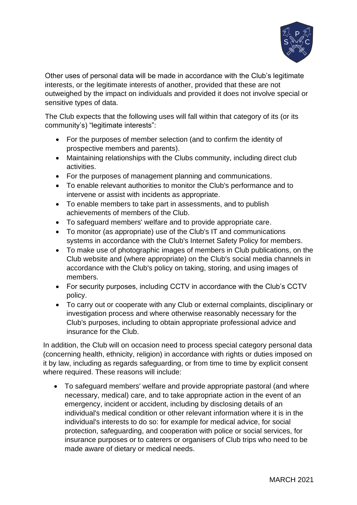

Other uses of personal data will be made in accordance with the Club's legitimate interests, or the legitimate interests of another, provided that these are not outweighed by the impact on individuals and provided it does not involve special or sensitive types of data.

The Club expects that the following uses will fall within that category of its (or its community's) "legitimate interests":

- For the purposes of member selection (and to confirm the identity of prospective members and parents).
- Maintaining relationships with the Clubs community, including direct club activities.
- For the purposes of management planning and communications.
- To enable relevant authorities to monitor the Club's performance and to intervene or assist with incidents as appropriate.
- To enable members to take part in assessments, and to publish achievements of members of the Club.
- To safeguard members' welfare and to provide appropriate care.
- To monitor (as appropriate) use of the Club's IT and communications systems in accordance with the Club's Internet Safety Policy for members.
- To make use of photographic images of members in Club publications, on the Club website and (where appropriate) on the Club's social media channels in accordance with the Club's policy on taking, storing, and using images of members.
- For security purposes, including CCTV in accordance with the Club's CCTV policy.
- To carry out or cooperate with any Club or external complaints, disciplinary or investigation process and where otherwise reasonably necessary for the Club's purposes, including to obtain appropriate professional advice and insurance for the Club.

In addition, the Club will on occasion need to process special category personal data (concerning health, ethnicity, religion) in accordance with rights or duties imposed on it by law, including as regards safeguarding, or from time to time by explicit consent where required. These reasons will include:

• To safeguard members' welfare and provide appropriate pastoral (and where necessary, medical) care, and to take appropriate action in the event of an emergency, incident or accident, including by disclosing details of an individual's medical condition or other relevant information where it is in the individual's interests to do so: for example for medical advice, for social protection, safeguarding, and cooperation with police or social services, for insurance purposes or to caterers or organisers of Club trips who need to be made aware of dietary or medical needs.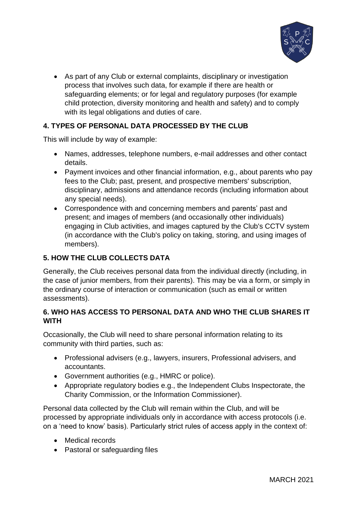

• As part of any Club or external complaints, disciplinary or investigation process that involves such data, for example if there are health or safeguarding elements; or for legal and regulatory purposes (for example child protection, diversity monitoring and health and safety) and to comply with its legal obligations and duties of care.

## **4. TYPES OF PERSONAL DATA PROCESSED BY THE CLUB**

This will include by way of example:

- Names, addresses, telephone numbers, e-mail addresses and other contact details.
- Payment invoices and other financial information, e.g., about parents who pay fees to the Club; past, present, and prospective members' subscription, disciplinary, admissions and attendance records (including information about any special needs).
- Correspondence with and concerning members and parents' past and present; and images of members (and occasionally other individuals) engaging in Club activities, and images captured by the Club's CCTV system (in accordance with the Club's policy on taking, storing, and using images of members).

## **5. HOW THE CLUB COLLECTS DATA**

Generally, the Club receives personal data from the individual directly (including, in the case of junior members, from their parents). This may be via a form, or simply in the ordinary course of interaction or communication (such as email or written assessments).

## **6. WHO HAS ACCESS TO PERSONAL DATA AND WHO THE CLUB SHARES IT WITH**

Occasionally, the Club will need to share personal information relating to its community with third parties, such as:

- Professional advisers (e.g., lawyers, insurers, Professional advisers, and accountants.
- Government authorities (e.g., HMRC or police).
- Appropriate regulatory bodies e.g., the Independent Clubs Inspectorate, the Charity Commission, or the Information Commissioner).

Personal data collected by the Club will remain within the Club, and will be processed by appropriate individuals only in accordance with access protocols (i.e. on a 'need to know' basis). Particularly strict rules of access apply in the context of:

- Medical records
- Pastoral or safeguarding files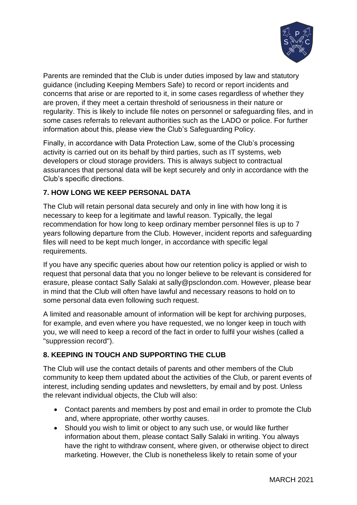

Parents are reminded that the Club is under duties imposed by law and statutory guidance (including Keeping Members Safe) to record or report incidents and concerns that arise or are reported to it, in some cases regardless of whether they are proven, if they meet a certain threshold of seriousness in their nature or regularity. This is likely to include file notes on personnel or safeguarding files, and in some cases referrals to relevant authorities such as the LADO or police. For further information about this, please view the Club's Safeguarding Policy.

Finally, in accordance with Data Protection Law, some of the Club's processing activity is carried out on its behalf by third parties, such as IT systems, web developers or cloud storage providers. This is always subject to contractual assurances that personal data will be kept securely and only in accordance with the Club's specific directions.

## **7. HOW LONG WE KEEP PERSONAL DATA**

The Club will retain personal data securely and only in line with how long it is necessary to keep for a legitimate and lawful reason. Typically, the legal recommendation for how long to keep ordinary member personnel files is up to 7 years following departure from the Club. However, incident reports and safeguarding files will need to be kept much longer, in accordance with specific legal requirements.

If you have any specific queries about how our retention policy is applied or wish to request that personal data that you no longer believe to be relevant is considered for erasure, please contact Sally Salaki at sally@psclondon.com. However, please bear in mind that the Club will often have lawful and necessary reasons to hold on to some personal data even following such request.

A limited and reasonable amount of information will be kept for archiving purposes, for example, and even where you have requested, we no longer keep in touch with you, we will need to keep a record of the fact in order to fulfil your wishes (called a "suppression record").

## **8. KEEPING IN TOUCH AND SUPPORTING THE CLUB**

The Club will use the contact details of parents and other members of the Club community to keep them updated about the activities of the Club, or parent events of interest, including sending updates and newsletters, by email and by post. Unless the relevant individual objects, the Club will also:

- Contact parents and members by post and email in order to promote the Club and, where appropriate, other worthy causes.
- Should you wish to limit or object to any such use, or would like further information about them, please contact Sally Salaki in writing. You always have the right to withdraw consent, where given, or otherwise object to direct marketing. However, the Club is nonetheless likely to retain some of your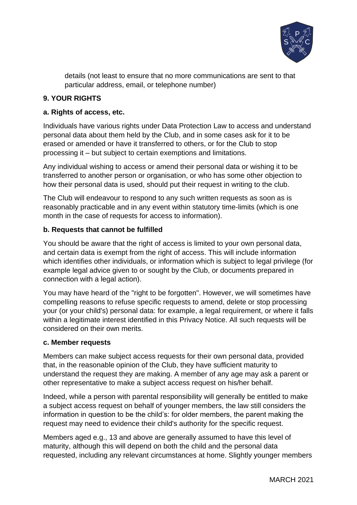

details (not least to ensure that no more communications are sent to that particular address, email, or telephone number)

## **9. YOUR RIGHTS**

## **a. Rights of access, etc.**

Individuals have various rights under Data Protection Law to access and understand personal data about them held by the Club, and in some cases ask for it to be erased or amended or have it transferred to others, or for the Club to stop processing it – but subject to certain exemptions and limitations.

Any individual wishing to access or amend their personal data or wishing it to be transferred to another person or organisation, or who has some other objection to how their personal data is used, should put their request in writing to the club.

The Club will endeavour to respond to any such written requests as soon as is reasonably practicable and in any event within statutory time-limits (which is one month in the case of requests for access to information).

## **b. Requests that cannot be fulfilled**

You should be aware that the right of access is limited to your own personal data, and certain data is exempt from the right of access. This will include information which identifies other individuals, or information which is subject to legal privilege (for example legal advice given to or sought by the Club, or documents prepared in connection with a legal action).

You may have heard of the "right to be forgotten". However, we will sometimes have compelling reasons to refuse specific requests to amend, delete or stop processing your (or your child's) personal data: for example, a legal requirement, or where it falls within a legitimate interest identified in this Privacy Notice. All such requests will be considered on their own merits.

## **c. Member requests**

Members can make subject access requests for their own personal data, provided that, in the reasonable opinion of the Club, they have sufficient maturity to understand the request they are making. A member of any age may ask a parent or other representative to make a subject access request on his/her behalf.

Indeed, while a person with parental responsibility will generally be entitled to make a subject access request on behalf of younger members, the law still considers the information in question to be the child's: for older members, the parent making the request may need to evidence their child's authority for the specific request.

Members aged e.g., 13 and above are generally assumed to have this level of maturity, although this will depend on both the child and the personal data requested, including any relevant circumstances at home. Slightly younger members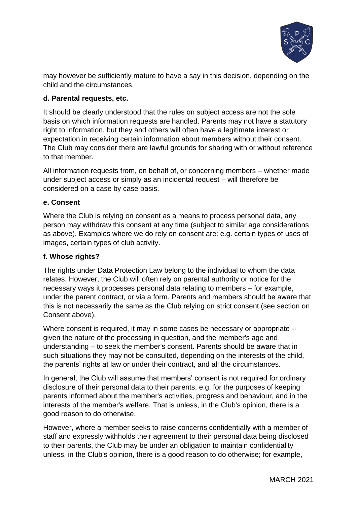

may however be sufficiently mature to have a say in this decision, depending on the child and the circumstances.

## **d. Parental requests, etc.**

It should be clearly understood that the rules on subject access are not the sole basis on which information requests are handled. Parents may not have a statutory right to information, but they and others will often have a legitimate interest or expectation in receiving certain information about members without their consent. The Club may consider there are lawful grounds for sharing with or without reference to that member.

All information requests from, on behalf of, or concerning members – whether made under subject access or simply as an incidental request – will therefore be considered on a case by case basis.

## **e. Consent**

Where the Club is relying on consent as a means to process personal data, any person may withdraw this consent at any time (subject to similar age considerations as above). Examples where we do rely on consent are: e.g. certain types of uses of images, certain types of club activity.

#### **f. Whose rights?**

The rights under Data Protection Law belong to the individual to whom the data relates. However, the Club will often rely on parental authority or notice for the necessary ways it processes personal data relating to members – for example, under the parent contract, or via a form. Parents and members should be aware that this is not necessarily the same as the Club relying on strict consent (see section on Consent above).

Where consent is required, it may in some cases be necessary or appropriate – given the nature of the processing in question, and the member's age and understanding – to seek the member's consent. Parents should be aware that in such situations they may not be consulted, depending on the interests of the child, the parents' rights at law or under their contract, and all the circumstances.

In general, the Club will assume that members' consent is not required for ordinary disclosure of their personal data to their parents, e.g. for the purposes of keeping parents informed about the member's activities, progress and behaviour, and in the interests of the member's welfare. That is unless, in the Club's opinion, there is a good reason to do otherwise.

However, where a member seeks to raise concerns confidentially with a member of staff and expressly withholds their agreement to their personal data being disclosed to their parents, the Club may be under an obligation to maintain confidentiality unless, in the Club's opinion, there is a good reason to do otherwise; for example,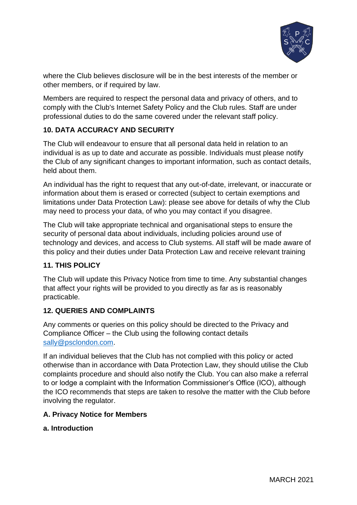

where the Club believes disclosure will be in the best interests of the member or other members, or if required by law.

Members are required to respect the personal data and privacy of others, and to comply with the Club's Internet Safety Policy and the Club rules. Staff are under professional duties to do the same covered under the relevant staff policy.

## **10. DATA ACCURACY AND SECURITY**

The Club will endeavour to ensure that all personal data held in relation to an individual is as up to date and accurate as possible. Individuals must please notify the Club of any significant changes to important information, such as contact details, held about them.

An individual has the right to request that any out-of-date, irrelevant, or inaccurate or information about them is erased or corrected (subject to certain exemptions and limitations under Data Protection Law): please see above for details of why the Club may need to process your data, of who you may contact if you disagree.

The Club will take appropriate technical and organisational steps to ensure the security of personal data about individuals, including policies around use of technology and devices, and access to Club systems. All staff will be made aware of this policy and their duties under Data Protection Law and receive relevant training

## **11. THIS POLICY**

The Club will update this Privacy Notice from time to time. Any substantial changes that affect your rights will be provided to you directly as far as is reasonably practicable.

## **12. QUERIES AND COMPLAINTS**

Any comments or queries on this policy should be directed to the Privacy and Compliance Officer – the Club using the following contact details [sally@psclondon.com.](mailto:sally@psclondon.com)

If an individual believes that the Club has not complied with this policy or acted otherwise than in accordance with Data Protection Law, they should utilise the Club complaints procedure and should also notify the Club. You can also make a referral to or lodge a complaint with the Information Commissioner's Office (ICO), although the ICO recommends that steps are taken to resolve the matter with the Club before involving the regulator.

## **A. Privacy Notice for Members**

**a. Introduction**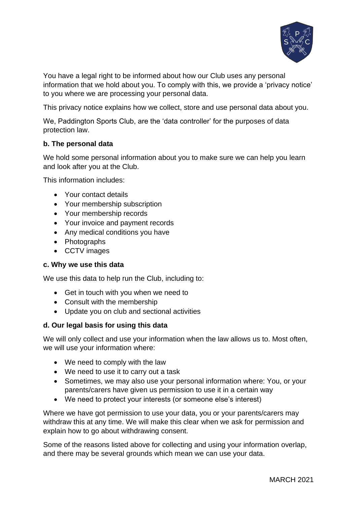

You have a legal right to be informed about how our Club uses any personal information that we hold about you. To comply with this, we provide a 'privacy notice' to you where we are processing your personal data.

This privacy notice explains how we collect, store and use personal data about you.

We, Paddington Sports Club, are the 'data controller' for the purposes of data protection law.

## **b. The personal data**

We hold some personal information about you to make sure we can help you learn and look after you at the Club.

This information includes:

- Your contact details
- Your membership subscription
- Your membership records
- Your invoice and payment records
- Any medical conditions you have
- Photographs
- CCTV images

#### **c. Why we use this data**

We use this data to help run the Club, including to:

- Get in touch with you when we need to
- Consult with the membership
- Update you on club and sectional activities

#### **d. Our legal basis for using this data**

We will only collect and use your information when the law allows us to. Most often, we will use your information where:

- We need to comply with the law
- We need to use it to carry out a task
- Sometimes, we may also use your personal information where: You, or your parents/carers have given us permission to use it in a certain way
- We need to protect your interests (or someone else's interest)

Where we have got permission to use your data, you or your parents/carers may withdraw this at any time. We will make this clear when we ask for permission and explain how to go about withdrawing consent.

Some of the reasons listed above for collecting and using your information overlap, and there may be several grounds which mean we can use your data.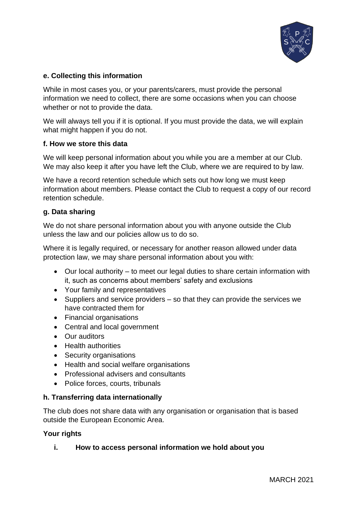

## **e. Collecting this information**

While in most cases you, or your parents/carers, must provide the personal information we need to collect, there are some occasions when you can choose whether or not to provide the data.

We will always tell you if it is optional. If you must provide the data, we will explain what might happen if you do not.

#### **f. How we store this data**

We will keep personal information about you while you are a member at our Club. We may also keep it after you have left the Club, where we are required to by law.

We have a record retention schedule which sets out how long we must keep information about members. Please contact the Club to request a copy of our record retention schedule.

## **g. Data sharing**

We do not share personal information about you with anyone outside the Club unless the law and our policies allow us to do so.

Where it is legally required, or necessary for another reason allowed under data protection law, we may share personal information about you with:

- Our local authority to meet our legal duties to share certain information with it, such as concerns about members' safety and exclusions
- Your family and representatives
- Suppliers and service providers so that they can provide the services we have contracted them for
- Financial organisations
- Central and local government
- Our auditors
- Health authorities
- Security organisations
- Health and social welfare organisations
- Professional advisers and consultants
- Police forces, courts, tribunals

## **h. Transferring data internationally**

The club does not share data with any organisation or organisation that is based outside the European Economic Area.

## **Your rights**

**i. How to access personal information we hold about you**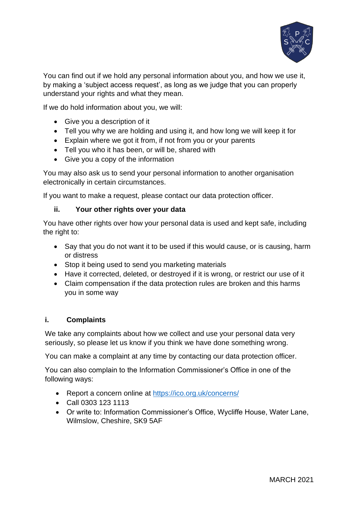

You can find out if we hold any personal information about you, and how we use it, by making a 'subject access request', as long as we judge that you can properly understand your rights and what they mean.

If we do hold information about you, we will:

- Give you a description of it
- Tell you why we are holding and using it, and how long we will keep it for
- Explain where we got it from, if not from you or your parents
- Tell you who it has been, or will be, shared with
- Give you a copy of the information

You may also ask us to send your personal information to another organisation electronically in certain circumstances.

If you want to make a request, please contact our data protection officer.

## **ii. Your other rights over your data**

You have other rights over how your personal data is used and kept safe, including the right to:

- Say that you do not want it to be used if this would cause, or is causing, harm or distress
- Stop it being used to send you marketing materials
- Have it corrected, deleted, or destroyed if it is wrong, or restrict our use of it
- Claim compensation if the data protection rules are broken and this harms you in some way

## **i. Complaints**

We take any complaints about how we collect and use your personal data very seriously, so please let us know if you think we have done something wrong.

You can make a complaint at any time by contacting our data protection officer.

You can also complain to the Information Commissioner's Office in one of the following ways:

- Report a concern online at<https://ico.org.uk/concerns/>
- Call 0303 123 1113
- Or write to: Information Commissioner's Office, Wycliffe House, Water Lane, Wilmslow, Cheshire, SK9 5AF